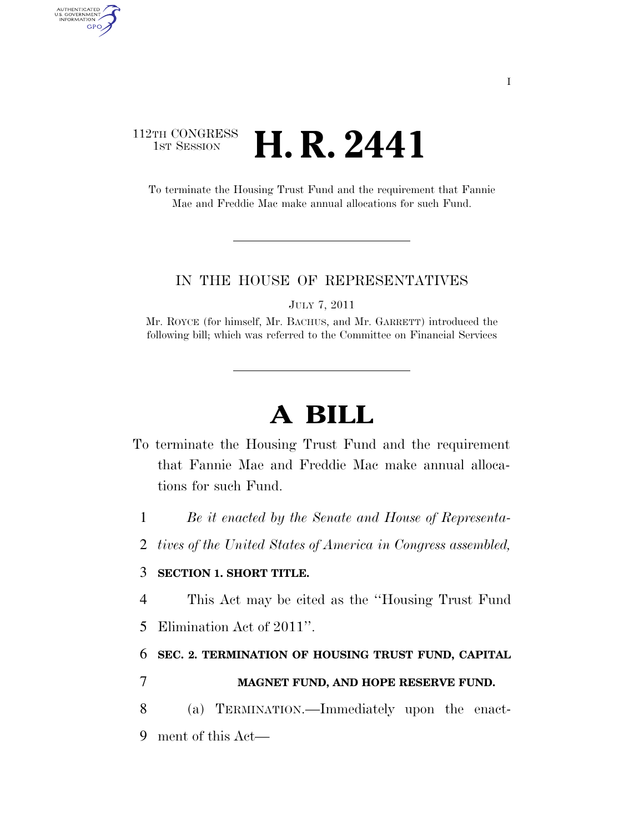## 112TH CONGRESS **1st Session H. R. 2441**

AUTHENTICATED<br>U.S. GOVERNMENT<br>INFORMATION GPO

> To terminate the Housing Trust Fund and the requirement that Fannie Mae and Freddie Mac make annual allocations for such Fund.

#### IN THE HOUSE OF REPRESENTATIVES

JULY 7, 2011

Mr. ROYCE (for himself, Mr. BACHUS, and Mr. GARRETT) introduced the following bill; which was referred to the Committee on Financial Services

# **A BILL**

- To terminate the Housing Trust Fund and the requirement that Fannie Mae and Freddie Mac make annual allocations for such Fund.
	- 1 *Be it enacted by the Senate and House of Representa-*
	- 2 *tives of the United States of America in Congress assembled,*

#### 3 **SECTION 1. SHORT TITLE.**

- 4 This Act may be cited as the ''Housing Trust Fund
- 5 Elimination Act of 2011''.

### 6 **SEC. 2. TERMINATION OF HOUSING TRUST FUND, CAPITAL**

### 7 **MAGNET FUND, AND HOPE RESERVE FUND.**

8 (a) TERMINATION.—Immediately upon the enact-9 ment of this Act—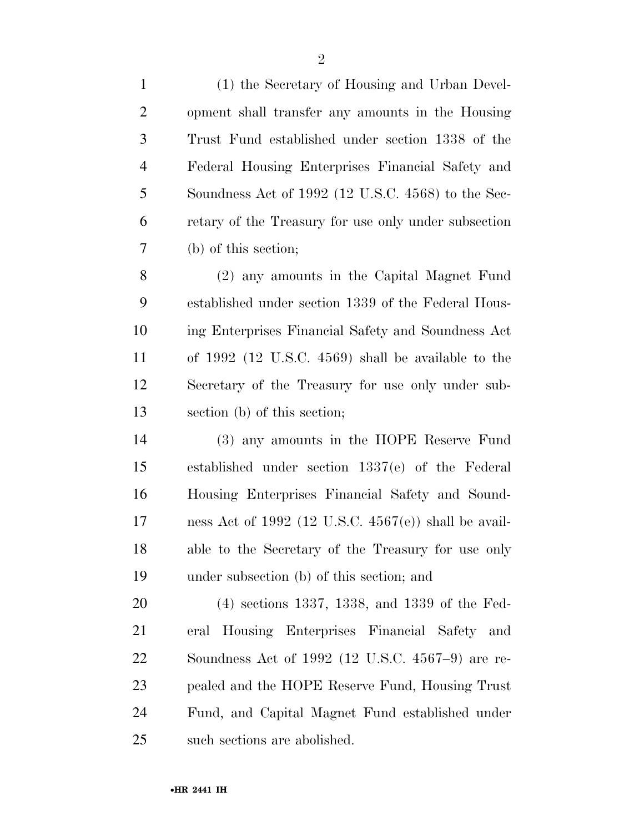| $\mathbf{1}$   | (1) the Secretary of Housing and Urban Devel-           |
|----------------|---------------------------------------------------------|
| $\overline{2}$ | opment shall transfer any amounts in the Housing        |
| 3              | Trust Fund established under section 1338 of the        |
| $\overline{4}$ | Federal Housing Enterprises Financial Safety and        |
| 5              | Soundness Act of 1992 (12 U.S.C. 4568) to the Sec-      |
| 6              | retary of the Treasury for use only under subsection    |
| $\tau$         | (b) of this section;                                    |
| 8              | (2) any amounts in the Capital Magnet Fund              |
| 9              | established under section 1339 of the Federal Hous-     |
| 10             | ing Enterprises Financial Safety and Soundness Act      |
| 11             | of $1992$ (12 U.S.C. 4569) shall be available to the    |
| 12             | Secretary of the Treasury for use only under sub-       |
| 13             | section (b) of this section;                            |
| 14             | (3) any amounts in the HOPE Reserve Fund                |
| 15             | established under section 1337(e) of the Federal        |
| 16             | Housing Enterprises Financial Safety and Sound-         |
| 17             | ness Act of 1992 (12 U.S.C. $4567(e)$ ) shall be avail- |

 able to the Secretary of the Treasury for use only under subsection (b) of this section; and

 (4) sections 1337, 1338, and 1339 of the Fed- eral Housing Enterprises Financial Safety and Soundness Act of 1992 (12 U.S.C. 4567–9) are re- pealed and the HOPE Reserve Fund, Housing Trust Fund, and Capital Magnet Fund established under such sections are abolished.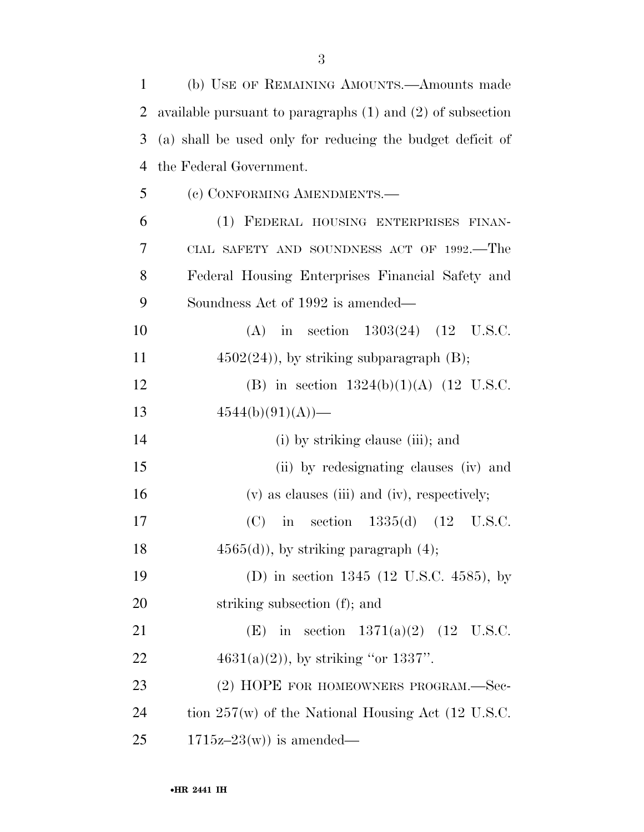| $\mathbf{1}$ | (b) USE OF REMAINING AMOUNTS.—Amounts made                     |
|--------------|----------------------------------------------------------------|
| 2            | available pursuant to paragraphs $(1)$ and $(2)$ of subsection |
| 3            | (a) shall be used only for reducing the budget deficit of      |
| 4            | the Federal Government.                                        |
| 5            | (c) CONFORMING AMENDMENTS.—                                    |
| 6            | (1) FEDERAL HOUSING ENTERPRISES FINAN-                         |
| 7            | CIAL SAFETY AND SOUNDNESS ACT OF 1992.—The                     |
| 8            | Federal Housing Enterprises Financial Safety and               |
| 9            | Soundness Act of 1992 is amended—                              |
| 10           | in section $1303(24)$ $(12 \text{ U.S.C.})$<br>(A)             |
| 11           | $4502(24)$ , by striking subparagraph (B);                     |
| 12           | (B) in section $1324(b)(1)(A)$ (12 U.S.C.                      |
| 13           | $4544(b)(91)(A)$ —                                             |
| 14           | (i) by striking clause (iii); and                              |
| 15           | (ii) by redesignating clauses (iv) and                         |
| 16           | $(v)$ as clauses (iii) and (iv), respectively;                 |
| 17           | in section $1335(d)$ (12 U.S.C.<br>(C)                         |
| 18           | $4565(d)$ , by striking paragraph $(4)$ ;                      |
| 19           | (D) in section $1345$ (12 U.S.C. 4585), by                     |
| 20           | striking subsection (f); and                                   |
| 21           | (E) in section $1371(a)(2)$ (12 U.S.C.                         |
| 22           | $4631(a)(2)$ , by striking "or 1337".                          |
| 23           | (2) HOPE FOR HOMEOWNERS PROGRAM.-Sec-                          |
| 24           | tion $257(w)$ of the National Housing Act (12 U.S.C.           |
| 25           | $1715z-23(w)$ is amended—                                      |